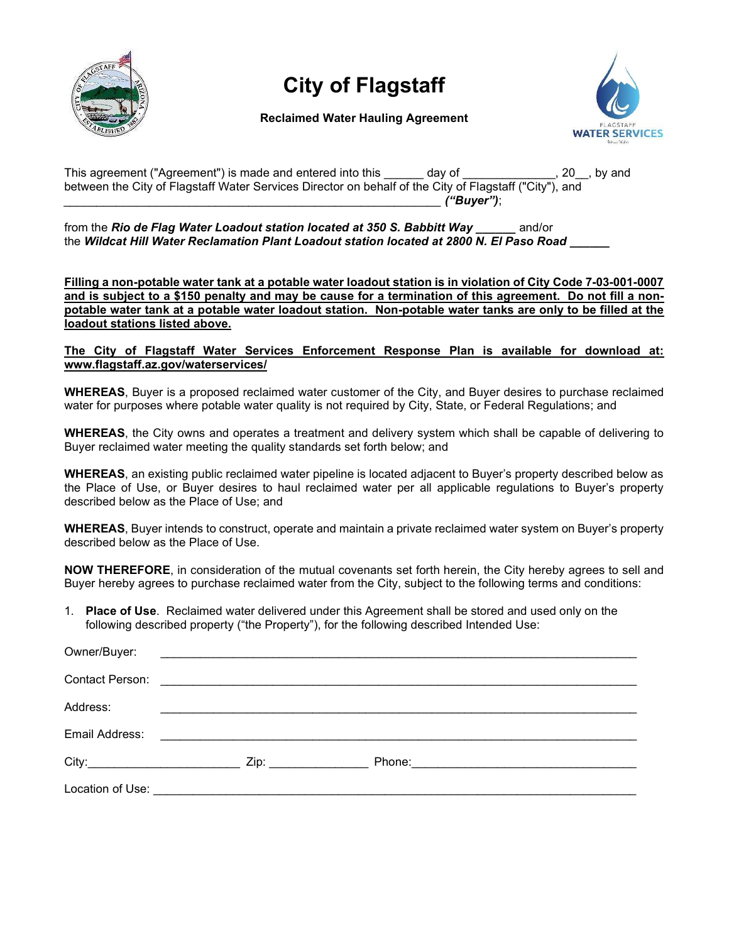

# City of Flagstaff

## Reclaimed Water Hauling Agreement



This agreement ("Agreement") is made and entered into this day of This agreement ("Agreement") is made and entered into this day of This agreement of the state of the state of the state of the state of the state of the sta between the City of Flagstaff Water Services Director on behalf of the City of Flagstaff ("City"), and \_\_\_\_\_\_\_\_\_\_\_\_\_\_\_\_\_\_\_\_\_\_\_\_\_\_\_\_\_\_\_\_\_\_\_\_\_\_\_\_\_\_\_\_\_\_\_\_\_\_\_\_\_\_\_\_\_ ("Buyer");

from the Rio de Flag Water Loadout station located at 350 S. Babbitt Way and/or the Wildcat Hill Water Reclamation Plant Loadout station located at 2800 N. El Paso Road

Filling a non-potable water tank at a potable water loadout station is in violation of City Code 7-03-001-0007 and is subject to a \$150 penalty and may be cause for a termination of this agreement. Do not fill a nonpotable water tank at a potable water loadout station. Non-potable water tanks are only to be filled at the loadout stations listed above.

The City of Flagstaff Water Services Enforcement Response Plan is available for download at: www.flagstaff.az.gov/waterservices/

WHEREAS, Buyer is a proposed reclaimed water customer of the City, and Buyer desires to purchase reclaimed water for purposes where potable water quality is not required by City, State, or Federal Regulations; and

WHEREAS, the City owns and operates a treatment and delivery system which shall be capable of delivering to Buyer reclaimed water meeting the quality standards set forth below; and

WHEREAS, an existing public reclaimed water pipeline is located adjacent to Buyer's property described below as the Place of Use, or Buyer desires to haul reclaimed water per all applicable regulations to Buyer's property described below as the Place of Use; and

WHEREAS, Buyer intends to construct, operate and maintain a private reclaimed water system on Buyer's property described below as the Place of Use.

NOW THEREFORE, in consideration of the mutual covenants set forth herein, the City hereby agrees to sell and Buyer hereby agrees to purchase reclaimed water from the City, subject to the following terms and conditions:

1. Place of Use. Reclaimed water delivered under this Agreement shall be stored and used only on the following described property ("the Property"), for the following described Intended Use:

| Owner/Buyer:   |                                                                                        |  |
|----------------|----------------------------------------------------------------------------------------|--|
|                | Contact Person: <b>Contact Person: Contact Person: Contact Person: Contact Person:</b> |  |
| Address:       |                                                                                        |  |
| Email Address: |                                                                                        |  |
|                | Zip: __________________                                                                |  |
|                |                                                                                        |  |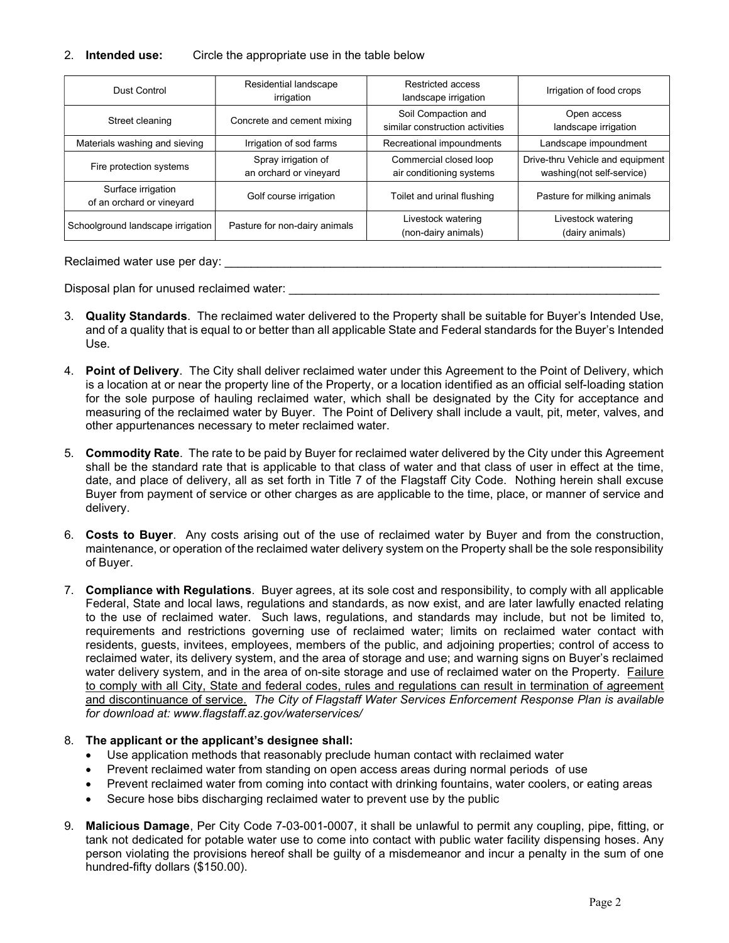### 2. Intended use: Circle the appropriate use in the table below

| Dust Control                                    | Residential landscape<br>irrigation           | Restricted access<br>landscape irrigation              | Irrigation of food crops                                      |
|-------------------------------------------------|-----------------------------------------------|--------------------------------------------------------|---------------------------------------------------------------|
| Street cleaning                                 | Concrete and cement mixing                    | Soil Compaction and<br>similar construction activities | Open access<br>landscape irrigation                           |
| Materials washing and sieving                   | Irrigation of sod farms                       | Recreational impoundments                              | Landscape impoundment                                         |
| Fire protection systems                         | Spray irrigation of<br>an orchard or vineyard | Commercial closed loop<br>air conditioning systems     | Drive-thru Vehicle and equipment<br>washing(not self-service) |
| Surface irrigation<br>of an orchard or vineyard | Golf course irrigation                        | Toilet and urinal flushing                             | Pasture for milking animals                                   |
| Schoolground landscape irrigation               | Pasture for non-dairy animals                 | Livestock watering<br>(non-dairy animals)              | Livestock watering<br>(dairy animals)                         |

#### Reclaimed water use per day:

Disposal plan for unused reclaimed water:

- 3. Quality Standards. The reclaimed water delivered to the Property shall be suitable for Buyer's Intended Use, and of a quality that is equal to or better than all applicable State and Federal standards for the Buyer's Intended Use.
- 4. Point of Delivery. The City shall deliver reclaimed water under this Agreement to the Point of Delivery, which is a location at or near the property line of the Property, or a location identified as an official self-loading station for the sole purpose of hauling reclaimed water, which shall be designated by the City for acceptance and measuring of the reclaimed water by Buyer. The Point of Delivery shall include a vault, pit, meter, valves, and other appurtenances necessary to meter reclaimed water.
- 5. Commodity Rate. The rate to be paid by Buyer for reclaimed water delivered by the City under this Agreement shall be the standard rate that is applicable to that class of water and that class of user in effect at the time, date, and place of delivery, all as set forth in Title 7 of the Flagstaff City Code. Nothing herein shall excuse Buyer from payment of service or other charges as are applicable to the time, place, or manner of service and delivery.
- 6. Costs to Buyer. Any costs arising out of the use of reclaimed water by Buyer and from the construction, maintenance, or operation of the reclaimed water delivery system on the Property shall be the sole responsibility of Buyer.
- 7. Compliance with Regulations. Buyer agrees, at its sole cost and responsibility, to comply with all applicable Federal, State and local laws, regulations and standards, as now exist, and are later lawfully enacted relating to the use of reclaimed water. Such laws, regulations, and standards may include, but not be limited to, requirements and restrictions governing use of reclaimed water; limits on reclaimed water contact with residents, guests, invitees, employees, members of the public, and adjoining properties; control of access to reclaimed water, its delivery system, and the area of storage and use; and warning signs on Buyer's reclaimed water delivery system, and in the area of on-site storage and use of reclaimed water on the Property. Failure to comply with all City, State and federal codes, rules and regulations can result in termination of agreement and discontinuance of service. The City of Flagstaff Water Services Enforcement Response Plan is available for download at: www.flagstaff.az.gov/waterservices/

#### 8. The applicant or the applicant's designee shall:

- Use application methods that reasonably preclude human contact with reclaimed water
- Prevent reclaimed water from standing on open access areas during normal periods of use
- Prevent reclaimed water from coming into contact with drinking fountains, water coolers, or eating areas
- Secure hose bibs discharging reclaimed water to prevent use by the public
- 9. Malicious Damage, Per City Code 7-03-001-0007, it shall be unlawful to permit any coupling, pipe, fitting, or tank not dedicated for potable water use to come into contact with public water facility dispensing hoses. Any person violating the provisions hereof shall be guilty of a misdemeanor and incur a penalty in the sum of one hundred-fifty dollars (\$150.00).